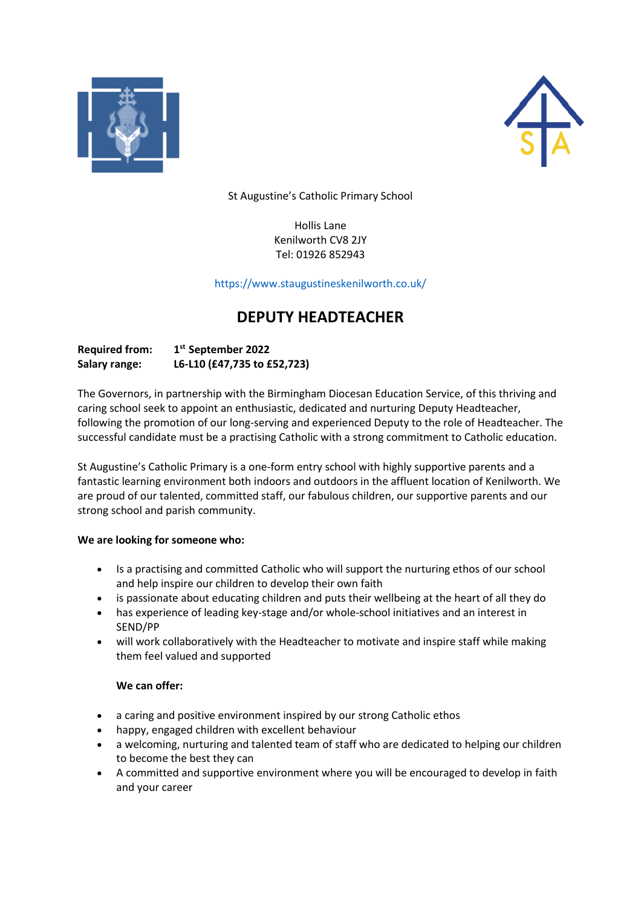



St Augustine's Catholic Primary School

Hollis Lane Kenilworth CV8 2JY Tel: 01926 852943

https://www.staugustineskenilworth.co.uk/

## **DEPUTY HEADTEACHER**

| <b>Required from:</b> | 1 <sup>st</sup> September 2022 |
|-----------------------|--------------------------------|
| Salary range:         | L6-L10 (£47,735 to £52,723)    |

The Governors, in partnership with the Birmingham Diocesan Education Service, of this thriving and caring school seek to appoint an enthusiastic, dedicated and nurturing Deputy Headteacher, following the promotion of our long-serving and experienced Deputy to the role of Headteacher. The successful candidate must be a practising Catholic with a strong commitment to Catholic education.

St Augustine's Catholic Primary is a one-form entry school with highly supportive parents and a fantastic learning environment both indoors and outdoors in the affluent location of Kenilworth. We are proud of our talented, committed staff, our fabulous children, our supportive parents and our strong school and parish community.

## **We are looking for someone who:**

- Is a practising and committed Catholic who will support the nurturing ethos of our school and help inspire our children to develop their own faith
- is passionate about educating children and puts their wellbeing at the heart of all they do
- has experience of leading key-stage and/or whole-school initiatives and an interest in SEND/PP
- will work collaboratively with the Headteacher to motivate and inspire staff while making them feel valued and supported

## **We can offer:**

- a caring and positive environment inspired by our strong Catholic ethos
- happy, engaged children with excellent behaviour
- a welcoming, nurturing and talented team of staff who are dedicated to helping our children to become the best they can
- A committed and supportive environment where you will be encouraged to develop in faith and your career